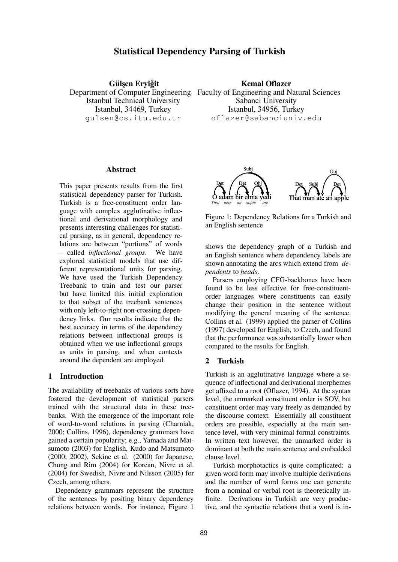# **Statistical Dependency Parsing of Turkish**

 $G$ ülşen Eryiğit Istanbul Technical University Istanbul, 34469, Turkey gulsen@cs.itu.edu.tr

# **Kemal Oflazer**

Department of Computer Engineering Faculty of Engineering and Natural Sciences Sabanci University Istanbul, 34956, Turkey oflazer@sabanciuniv.edu

#### **Abstract**

This paper presents results from the first statistical dependency parser for Turkish. Turkish is a free-constituent order language with complex agglutinative inflectional and derivational morphology and presents interesting challenges for statistical parsing, as in general, dependency relations are between "portions" of words – called *inflectional groups*. We have explored statistical models that use different representational units for parsing. We have used the Turkish Dependency Treebank to train and test our parser but have limited this initial exploration to that subset of the treebank sentences with only left-to-right non-crossing dependency links. Our results indicate that the best accuracy in terms of the dependency relations between inflectional groups is obtained when we use inflectional groups as units in parsing, and when contexts around the dependent are employed.

# **1 Introduction**

The availability of treebanks of various sorts have fostered the development of statistical parsers trained with the structural data in these treebanks. With the emergence of the important role of word-to-word relations in parsing (Charniak, 2000; Collins, 1996), dependency grammars have gained a certain popularity; e.g., Yamada and Matsumoto (2003) for English, Kudo and Matsumoto (2000; 2002), Sekine et al. (2000) for Japanese, Chung and Rim (2004) for Korean, Nivre et al. (2004) for Swedish, Nivre and Nilsson (2005) for Czech, among others.

Dependency grammars represent the structure of the sentences by positing binary dependency relations between words. For instance, Figure 1



Figure 1: Dependency Relations for a Turkish and an English sentence

shows the dependency graph of a Turkish and an English sentence where dependency labels are shown annotating the arcs which extend from *dependents* to *heads*.

Parsers employing CFG-backbones have been found to be less effective for free-constituentorder languages where constituents can easily change their position in the sentence without modifying the general meaning of the sentence. Collins et al. (1999) applied the parser of Collins (1997) developed for English, to Czech, and found that the performance was substantially lower when compared to the results for English.

## **2 Turkish**

Turkish is an agglutinative language where a sequence of inflectional and derivational morphemes get affixed to a root (Oflazer, 1994). At the syntax level, the unmarked constituent order is SOV, but constituent order may vary freely as demanded by the discourse context. Essentially all constituent orders are possible, especially at the main sentence level, with very minimal formal constraints. In written text however, the unmarked order is dominant at both the main sentence and embedded clause level.

Turkish morphotactics is quite complicated: a given word form may involve multiple derivations and the number of word forms one can generate from a nominal or verbal root is theoretically infinite. Derivations in Turkish are very productive, and the syntactic relations that a word is in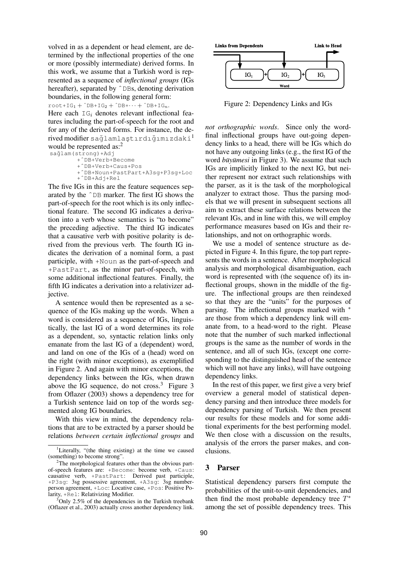volved in as a dependent or head element, are determined by the inflectional properties of the one or more (possibly intermediate) derived forms. In this work, we assume that a Turkish word is represented as a sequence of *inflectional groups* (IGs hereafter), separated by  $\hat{\triangle}$ DBs, denoting derivation boundaries, in the following general form:

 $root+IG_1 + \hat{DB}+IG_2 + \hat{DB}+ \cdots + \hat{DB}+IG_n.$ 

Here each  $IG_i$  denotes relevant inflectional features including the part-of-speech for the root and for any of the derived forms. For instance, the derived modifier sağlamlastırdığımızdaki<sup>1</sup> would be represented as:<sup>2</sup>

sağlam(strong)+Adj +ˆDB+Verb+Become

```
+ˆDB+Verb+Caus+Pos
+ˆDB+Noun+PastPart+A3sg+P3sg+Loc
+ˆDB+Adj+Rel
```
The five IGs in this are the feature sequences separated by the ˆDB marker. The first IG shows the part-of-speech for the root which is its only inflectional feature. The second IG indicates a derivation into a verb whose semantics is "to become" the preceding adjective. The third IG indicates that a causative verb with positive polarity is derived from the previous verb. The fourth IG indicates the derivation of a nominal form, a past participle, with +Noun as the part-of-speech and +PastPart, as the minor part-of-speech, with some additional inflectional features. Finally, the fifth IG indicates a derivation into a relativizer adjective.

A sentence would then be represented as a sequence of the IGs making up the words. When a word is considered as a sequence of IGs, linguistically, the last IG of a word determines its role as a dependent, so, syntactic relation links only emanate from the last IG of a (dependent) word, and land on one of the IGs of a (head) word on the right (with minor exceptions), as exemplified in Figure 2. And again with minor exceptions, the dependency links between the IGs, when drawn above the IG sequence, do not cross. $3$  Figure 3 from Oflazer (2003) shows a dependency tree for a Turkish sentence laid on top of the words segmented along IG boundaries.

With this view in mind, the dependency relations that are to be extracted by a parser should be relations *between certain inflectional groups* and



Figure 2: Dependency Links and IGs

*not orthographic words*. Since only the wordfinal inflectional groups have out-going dependency links to a head, there will be IGs which do not have any outgoing links (e.g., the first IG of the word *büyümesi* in Figure 3). We assume that such IGs are implicitly linked to the next IG, but neither represent nor extract such relationships with the parser, as it is the task of the morphological analyzer to extract those. Thus the parsing models that we will present in subsequent sections all aim to extract these surface relations between the relevant IGs, and in line with this, we will employ performance measures based on IGs and their relationships, and not on orthographic words.

We use a model of sentence structure as depicted in Figure 4. In this figure, the top part represents the words in a sentence. After morphological analysis and morphological disambiguation, each word is represented with (the sequence of) its inflectional groups, shown in the middle of the figure. The inflectional groups are then reindexed so that they are the "units" for the purposes of parsing. The inflectional groups marked with  $*$ are those from which a dependency link will emanate from, to a head-word to the right. Please note that the number of such marked inflectional groups is the same as the number of words in the sentence, and all of such IGs, (except one corresponding to the distinguished head of the sentence which will not have any links), will have outgoing dependency links.

In the rest of this paper, we first give a very brief overview a general model of statistical dependency parsing and then introduce three models for dependency parsing of Turkish. We then present our results for these models and for some additional experiments for the best performing model. We then close with a discussion on the results, analysis of the errors the parser makes, and conclusions.

# **3 Parser**

Statistical dependency parsers first compute the probabilities of the unit-to-unit dependencies, and then find the most probable dependency tree  $T^*$ among the set of possible dependency trees. This

<sup>&</sup>lt;sup>1</sup>Literally, "(the thing existing) at the time we caused (something) to become strong".

<sup>&</sup>lt;sup>2</sup>The morphological features other than the obvious partof-speech features are: +Become: become verb, +Caus: causative verb, +PastPart: Derived past participle, +P3sg: 3sg possessive agreement, +A3sg: 3sg numberperson agreement, +Loc: Locative case, +Pos: Positive Polarity, +Rel: Relativizing Modifier.

 $3$ Only 2.5% of the dependencies in the Turkish treebank (Oflazer et al., 2003) actually cross another dependency link.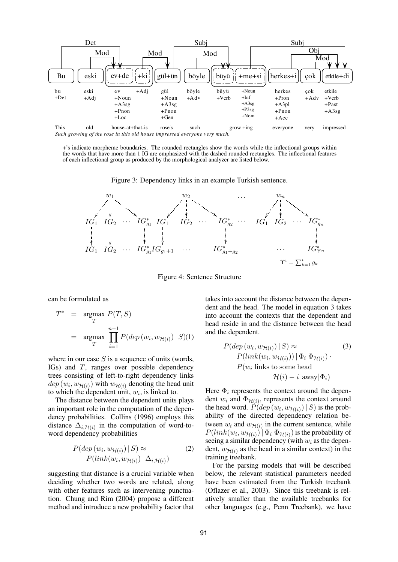

+'s indicate morpheme boundaries. The rounded rectangles show the words while the inflectional groups within the words that have more than 1 IG are emphasized with the dashed rounded rectangles. The inflectional features of each inflectional group as produced by the morphological analyzer are listed below.

Figure 3: Dependency links in an example Turkish sentence.



Figure 4: Sentence Structure

can be formulated as

$$
T^* = \underset{T}{\operatorname{argmax}} P(T, S)
$$
  
= 
$$
\underset{T}{\operatorname{argmax}} \prod_{i=1}^{n-1} P(dep(w_i, w_{\mathcal{H}(i)}) | S)(1)
$$

where in our case  $S$  is a sequence of units (words, IGs) and T, ranges over possible dependency trees consisting of left-to-right dependency links  $dep(w_i, w_{\mathcal{H}(i)})$  with  $w_{\mathcal{H}(i)}$  denoting the head unit to which the dependent unit,  $w_i$ , is linked to.

The distance between the dependent units plays an important role in the computation of the dependency probabilities. Collins (1996) employs this distance  $\Delta_{i,\mathcal{H}(i)}$  in the computation of word-toword dependency probabilities

$$
P(\text{dep}(w_i, w_{\mathcal{H}(i)}) \mid S) \approx \qquad (2)
$$
  
 
$$
P(\text{link}(w_i, w_{\mathcal{H}(i)}) \mid \Delta_{i, \mathcal{H}(i)})
$$

suggesting that distance is a crucial variable when deciding whether two words are related, along with other features such as intervening punctuation. Chung and Rim (2004) propose a different method and introduce a new probability factor that takes into account the distance between the dependent and the head. The model in equation 3 takes into account the contexts that the dependent and head reside in and the distance between the head and the dependent.

$$
P(\text{dep}(w_i, w_{\mathcal{H}(i)}) | S) \approx \qquad (3)
$$
  
\n
$$
P(\text{link}(w_i, w_{\mathcal{H}(i)})) | \Phi_i \Phi_{\mathcal{H}(i)}).
$$
  
\n
$$
P(w_i \text{ links to some head} \qquad \qquad \mathcal{H}(i) - i \text{ away} | \Phi_i)
$$

Here  $\Phi_i$  represents the context around the dependent  $w_i$  and  $\Phi_{\mathcal{H}(i)}$ , represents the context around the head word.  $P(dep(w_i, w_{\mathcal{H}(i)}) | S)$  is the probability of the directed dependency relation between  $w_i$  and  $w_{\mathcal{H}(i)}$  in the current sentence, while  $P(link(w_i, w_{\mathcal{H}(i)}) | \Phi_i \Phi_{\mathcal{H}(i)})$  is the probability of seeing a similar dependency (with  $w_i$  as the dependent,  $w_{\mathcal{H}(i)}$  as the head in a similar context) in the training treebank.

For the parsing models that will be described below, the relevant statistical parameters needed have been estimated from the Turkish treebank (Oflazer et al., 2003). Since this treebank is relatively smaller than the available treebanks for other languages (e.g., Penn Treebank), we have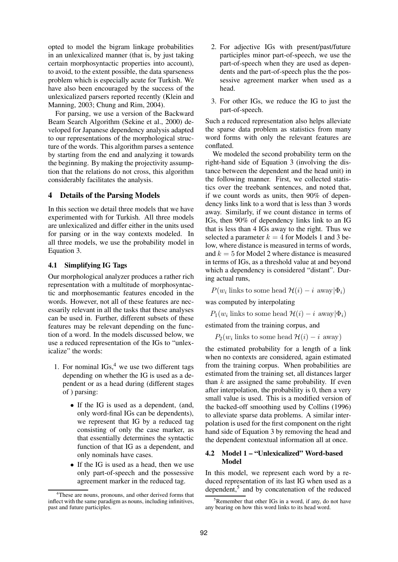opted to model the bigram linkage probabilities in an unlexicalized manner (that is, by just taking certain morphosyntactic properties into account), to avoid, to the extent possible, the data sparseness problem which is especially acute for Turkish. We have also been encouraged by the success of the unlexicalized parsers reported recently (Klein and Manning, 2003; Chung and Rim, 2004).

For parsing, we use a version of the Backward Beam Search Algorithm (Sekine et al., 2000) developed for Japanese dependency analysis adapted to our representations of the morphological structure of the words. This algorithm parses a sentence by starting from the end and analyzing it towards the beginning. By making the projectivity assumption that the relations do not cross, this algorithm considerably facilitates the analysis.

#### **4 Details of the Parsing Models**

In this section we detail three models that we have experimented with for Turkish. All three models are unlexicalized and differ either in the units used for parsing or in the way contexts modeled. In all three models, we use the probability model in Equation 3.

#### **4.1 Simplifying IG Tags**

Our morphological analyzer produces a rather rich representation with a multitude of morphosyntactic and morphosemantic features encoded in the words. However, not all of these features are necessarily relevant in all the tasks that these analyses can be used in. Further, different subsets of these features may be relevant depending on the function of a word. In the models discussed below, we use a reduced representation of the IGs to "unlexicalize" the words:

- 1. For nominal  $IGs<sup>4</sup>$  we use two different tags depending on whether the IG is used as a dependent or as a head during (different stages of ) parsing:
	- If the IG is used as a dependent, (and, only word-final IGs can be dependents), we represent that IG by a reduced tag consisting of only the case marker, as that essentially determines the syntactic function of that IG as a dependent, and only nominals have cases.
	- If the IG is used as a head, then we use only part-of-speech and the possessive agreement marker in the reduced tag.
- 2. For adjective IGs with present/past/future participles minor part-of-speech, we use the part-of-speech when they are used as dependents and the part-of-speech plus the the possessive agreement marker when used as a head.
- 3. For other IGs, we reduce the IG to just the part-of-speech.

Such a reduced representation also helps alleviate the sparse data problem as statistics from many word forms with only the relevant features are conflated.

We modeled the second probability term on the right-hand side of Equation 3 (involving the distance between the dependent and the head unit) in the following manner. First, we collected statistics over the treebank sentences, and noted that, if we count words as units, then 90% of dependency links link to a word that is less than 3 words away. Similarly, if we count distance in terms of IGs, then 90% of dependency links link to an IG that is less than 4 IGs away to the right. Thus we selected a parameter  $k = 4$  for Models 1 and 3 below, where distance is measured in terms of words, and  $k = 5$  for Model 2 where distance is measured in terms of IGs, as a threshold value at and beyond which a dependency is considered "distant". During actual runs,

 $P(w_i \text{ links to some head } \mathcal{H}(i) - i \text{ away}|\Phi_i)$ 

was computed by interpolating

 $P_1(w_i)$  links to some head  $\mathcal{H}(i) - i$  away $|\Phi_i\rangle$ 

estimated from the training corpus, and

 $P_2(w_i)$  links to some head  $\mathcal{H}(i) - i$  away)

the estimated probability for a length of a link when no contexts are considered, again estimated from the training corpus. When probabilities are estimated from the training set, all distances larger than  $k$  are assigned the same probability. If even after interpolation, the probability is 0, then a very small value is used. This is a modified version of the backed-off smoothing used by Collins (1996) to alleviate sparse data problems. A similar interpolation is used for the first component on the right hand side of Equation 3 by removing the head and the dependent contextual information all at once.

### **4.2 Model 1 – "Unlexicalized" Word-based Model**

In this model, we represent each word by a reduced representation of its last IG when used as a dependent,<sup>5</sup> and by concatenation of the reduced

 $4$ These are nouns, pronouns, and other derived forms that inflect with the same paradigm as nouns, including infinitives, past and future participles.

 $5R$ emember that other IGs in a word, if any, do not have any bearing on how this word links to its head word.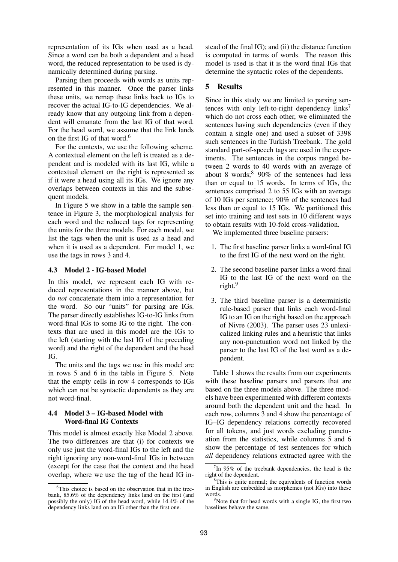representation of its IGs when used as a head. Since a word can be both a dependent and a head word, the reduced representation to be used is dynamically determined during parsing.

Parsing then proceeds with words as units represented in this manner. Once the parser links these units, we remap these links back to IGs to recover the actual IG-to-IG dependencies. We already know that any outgoing link from a dependent will emanate from the last IG of that word. For the head word, we assume that the link lands on the first IG of that word.<sup>6</sup>

For the contexts, we use the following scheme. A contextual element on the left is treated as a dependent and is modeled with its last IG, while a contextual element on the right is represented as if it were a head using all its IGs. We ignore any overlaps between contexts in this and the subsequent models.

In Figure 5 we show in a table the sample sentence in Figure 3, the morphological analysis for each word and the reduced tags for representing the units for the three models. For each model, we list the tags when the unit is used as a head and when it is used as a dependent. For model 1, we use the tags in rows 3 and 4.

#### **4.3 Model 2 - IG-based Model**

In this model, we represent each IG with reduced representations in the manner above, but do *not* concatenate them into a representation for the word. So our "units" for parsing are IGs. The parser directly establishes IG-to-IG links from word-final IGs to some IG to the right. The contexts that are used in this model are the IGs to the left (starting with the last IG of the preceding word) and the right of the dependent and the head IG.

The units and the tags we use in this model are in rows 5 and 6 in the table in Figure 5. Note that the empty cells in row 4 corresponds to IGs which can not be syntactic dependents as they are not word-final.

#### **4.4 Model 3 – IG-based Model with Word-final IG Contexts**

This model is almost exactly like Model 2 above. The two differences are that (i) for contexts we only use just the word-final IGs to the left and the right ignoring any non-word-final IGs in between (except for the case that the context and the head overlap, where we use the tag of the head IG instead of the final IG); and (ii) the distance function is computed in terms of words. The reason this model is used is that it is the word final IGs that determine the syntactic roles of the dependents.

# **5 Results**

Since in this study we are limited to parsing sentences with only left-to-right dependency  $\text{links}^7$ which do not cross each other, we eliminated the sentences having such dependencies (even if they contain a single one) and used a subset of 3398 such sentences in the Turkish Treebank. The gold standard part-of-speech tags are used in the experiments. The sentences in the corpus ranged between 2 words to 40 words with an average of about 8 words;  $8\,90\%$  of the sentences had less than or equal to 15 words. In terms of IGs, the sentences comprised 2 to 55 IGs with an average of 10 IGs per sentence; 90% of the sentences had less than or equal to 15 IGs. We partitioned this set into training and test sets in 10 different ways to obtain results with 10-fold cross-validation.

We implemented three baseline parsers:

- 1. The first baseline parser links a word-final IG to the first IG of the next word on the right.
- 2. The second baseline parser links a word-final IG to the last IG of the next word on the right.<sup>9</sup>
- 3. The third baseline parser is a deterministic rule-based parser that links each word-final IG to an IG on the right based on the approach of Nivre (2003). The parser uses 23 unlexicalized linking rules and a heuristic that links any non-punctuation word not linked by the parser to the last IG of the last word as a dependent.

Table 1 shows the results from our experiments with these baseline parsers and parsers that are based on the three models above. The three models have been experimented with different contexts around both the dependent unit and the head. In each row, columns 3 and 4 show the percentage of IG–IG dependency relations correctly recovered for all tokens, and just words excluding punctuation from the statistics, while columns 5 and 6 show the percentage of test sentences for which *all* dependency relations extracted agree with the

<sup>&</sup>lt;sup>6</sup>This choice is based on the observation that in the treebank, 85.6% of the dependency links land on the first (and possibly the only) IG of the head word, while 14.4% of the dependency links land on an IG other than the first one.

 $7$ In 95% of the treebank dependencies, the head is the right of the dependent.

<sup>&</sup>lt;sup>8</sup>This is quite normal; the equivalents of function words in English are embedded as morphemes (not IGs) into these words.

 $9^9$ Note that for head words with a single IG, the first two baselines behave the same.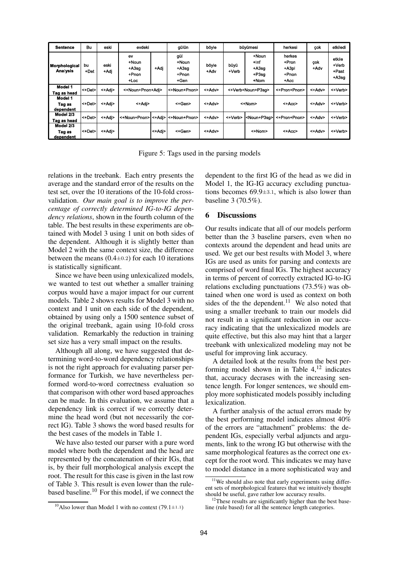| <b>Sentence</b>                  | Bu               | eski         | evdeki                                    |        | gülün                                    | böv e         | büyümesi          |                                           | herkesi                                     | çok         | etkiledi                               |
|----------------------------------|------------------|--------------|-------------------------------------------|--------|------------------------------------------|---------------|-------------------|-------------------------------------------|---------------------------------------------|-------------|----------------------------------------|
| Morphological<br><b>Analysis</b> | bu<br>+Det       | eski<br>+Adi | ev<br>+Noun<br>$+A3sq$<br>+Pnon<br>$+Loc$ | +Adj   | gül<br>+Noun<br>$+A3sq$<br>+Pnon<br>+Gen | böyle<br>+Adv | büyü<br>+Verb     | +Noun<br>+Inf<br>$+A3sq$<br>+P3sa<br>+Nom | herkes<br>+Pron<br>$+A3pI$<br>+Pnon<br>+Acc | çok<br>+Adv | etkile<br>$+$ Verb<br>+Past<br>$+A3sg$ |
| Model 1<br>Tag as head           | $\leq +$ Det $>$ | <+Adi>       | <+Noun+Pnon+Adi>                          |        | <+Noun+Pnon>                             | <+Adv>        | <+Verb+Noun+P3sq> |                                           | <+Pron+Pnon>                                | <+Adv>      | <+Verb>                                |
| Model 1<br>Tag as<br>dependent   | <+Det>           | <+Adi>       | <+Adi>                                    |        | <+Gen>                                   | <+Adv>        | <+Nom>            |                                           | <+Acc>                                      | <+Adv>      | <+Verb>                                |
| Model 2/3<br>Tag as head         | $\leq +$ Det $>$ | <+Adi>       | <+Noun+Pnon>                              |        | l<+Adi>l<+Noun+Pnon>                     | <+Adv>        | <+Verb>           | <noun+p3sg></noun+p3sg>                   | <+Pron+Pnon>                                | <+Adv>      | <+Verb>                                |
| Model 2/3<br>Tag as<br>dependent | <+Det>           | <+Adi>       |                                           | <+Adj> | <+Gen>                                   | <+Adv>        |                   | <+Nom>                                    | <+Acc>                                      | <+Adv>      | <+Verb>                                |

Figure 5: Tags used in the parsing models

relations in the treebank. Each entry presents the average and the standard error of the results on the test set, over the 10 iterations of the 10-fold crossvalidation. *Our main goal is to improve the percentage of correctly determined IG-to-IG dependency relations*, shown in the fourth column of the table. The best results in these experiments are obtained with Model 3 using 1 unit on both sides of the dependent. Although it is slightly better than Model 2 with the same context size, the difference between the means  $(0.4\pm0.2)$  for each 10 iterations is statistically significant.

Since we have been using unlexicalized models, we wanted to test out whether a smaller training corpus would have a major impact for our current models. Table 2 shows results for Model 3 with no context and 1 unit on each side of the dependent, obtained by using only a 1500 sentence subset of the original treebank, again using 10-fold cross validation. Remarkably the reduction in training set size has a very small impact on the results.

Although all along, we have suggested that determining word-to-word dependency relationships is not the right approach for evaluating parser performance for Turkish, we have nevertheless performed word-to-word correctness evaluation so that comparison with other word based approaches can be made. In this evaluation, we assume that a dependency link is correct if we correctly determine the head word (but not necessarily the correct IG). Table 3 shows the word based results for the best cases of the models in Table 1.

We have also tested our parser with a pure word model where both the dependent and the head are represented by the concatenation of their IGs, that is, by their full morphological analysis except the root. The result for this case is given in the last row of Table 3. This result is even lower than the rulebased baseline.<sup>10</sup> For this model, if we connect the

dependent to the first IG of the head as we did in Model 1, the IG-IG accuracy excluding punctuations becomes 69.9±3.1, which is also lower than baseline 3 (70.5%).

#### **6 Discussions**

Our results indicate that all of our models perform better than the 3 baseline parsers, even when no contexts around the dependent and head units are used. We get our best results with Model 3, where IGs are used as units for parsing and contexts are comprised of word final IGs. The highest accuracy in terms of percent of correctly extracted IG-to-IG relations excluding punctuations (73.5%) was obtained when one word is used as context on both sides of the the dependent.<sup>11</sup> We also noted that using a smaller treebank to train our models did not result in a significant reduction in our accuracy indicating that the unlexicalized models are quite effective, but this also may hint that a larger treebank with unlexicalized modeling may not be useful for improving link accuracy.

A detailed look at the results from the best performing model shown in in Table  $4<sup>12</sup>$  indicates that, accuracy decrases with the increasing sentence length. For longer sentences, we should employ more sophisticated models possibly including lexicalization.

A further analysis of the actual errors made by the best performing model indicates almost 40% of the errors are "attachment" problems: the dependent IGs, especially verbal adjuncts and arguments, link to the wrong IG but otherwise with the same morphological features as the correct one except for the root word. This indicates we may have to model distance in a more sophisticated way and

<sup>&</sup>lt;sup>10</sup>Also lower than Model 1 with no context (79.1 $\pm$ 1.1)

 $11$ We should also note that early experiments using different sets of morphological features that we intuitively thought should be useful, gave rather low accuracy results.

<sup>&</sup>lt;sup>12</sup>These results are significantly higher than the best baseline (rule based) for all the sentence length categories.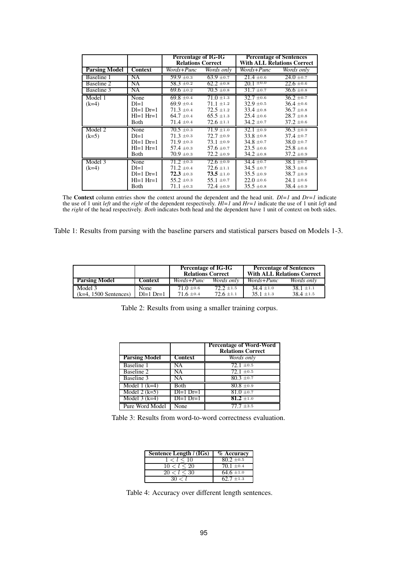|                      |                  | <b>Percentage of IG-IG</b><br><b>Relations Correct</b> |                | <b>Percentage of Sentences</b><br><b>With ALL Relations Correct</b> |                |  |
|----------------------|------------------|--------------------------------------------------------|----------------|---------------------------------------------------------------------|----------------|--|
| <b>Parsing Model</b> | <b>Context</b>   | Words+Punc                                             | Words only     | Words+Punc                                                          | Words only     |  |
| Baseline 1           | NA               | $59.9 \pm 0.3$                                         | $63.9 \pm 0.7$ | $21.4 \pm 0.6$                                                      | $24.0 \pm 0.7$ |  |
| <b>Baseline 2</b>    | NA               | $58.3 \pm 0.2$                                         | $62.2 \pm 0.8$ | $20.1 \pm 0.0$                                                      | $22.6 \pm 0.6$ |  |
| Baseline 3           | NA               | $69.6 \pm 0.2$                                         | $70.5 \pm 0.8$ | $31.7 \pm 0.7$                                                      | $36.6 \pm 0.8$ |  |
| Model 1              | None             | $69.8 \pm 0.4$                                         | $71.0 \pm 1.3$ | $32.7 \pm 0.6$                                                      | $36.2 \pm 0.7$ |  |
| $(k=4)$              | $D = 1$          | $69.9 \pm 0.4$                                         | $71.1 \pm 1.2$ | $32.9 \pm 0.5$                                                      | $36.4 \pm 0.6$ |  |
|                      | $D = 1$ $Dr = 1$ | $71.3 \pm 0.4$                                         | $72.5 \pm 1.2$ | $33.4 \pm 0.8$                                                      | $36.7 \pm 0.8$ |  |
|                      | $H = 1$ $Hr = 1$ | $64.7 \pm 0.4$                                         | $65.5 \pm 1.3$ | $25.4 \pm 0.6$                                                      | $28.7 \pm 0.8$ |  |
|                      | Both             | $71.4 \pm 0.4$                                         | $72.6 \pm 1.1$ | $34.2 \pm 0.7$                                                      | $37.2 \pm 0.6$ |  |
| Model 2              | None             | $70.5 \pm 0.3$                                         | $71.9 \pm 1.0$ | $32.1 \pm 0.9$                                                      | $36.3 \pm 0.9$ |  |
| $(k=5)$              | $D = 1$          | $71.3 \pm 0.3$                                         | $72.7 \pm 0.9$ | $33.8 \pm 0.8$                                                      | $37.4 \pm 0.7$ |  |
|                      | $D = 1$ $Dr = 1$ | $71.9 \pm 0.3$                                         | $73.1 \pm 0.9$ | $34.8 \pm 0.7$                                                      | $38.0 \pm 0.7$ |  |
|                      | $H = 1$ $Hr = 1$ | $57.4 \pm 0.3$                                         | 57.6 $\pm$ 0.7 | $23.5 \pm 0.6$                                                      | $25.8 \pm 0.6$ |  |
|                      | Both             | $70.9 \pm 0.3$                                         | $72.2 \pm 0.9$ | $34.2 \pm 0.8$                                                      | $37.2 \pm 0.9$ |  |
| Model 3              | None             | $71.2 \pm 0.3$                                         | $72.6 \pm 0.9$ | $34.4 \pm 0.7$                                                      | $38.1 \pm 0.7$ |  |
| $(k=4)$              | $D = 1$          | $71.2 \pm 0.4$                                         | $72.6 \pm 1.1$ | $34.5 \pm 0.7$                                                      | $38.3 \pm 0.6$ |  |
|                      | $D = 1$ $Dr = 1$ | $72.3 \pm 0.3$                                         | $73.5 \pm 1.0$ | $35.5 \pm 0.9$                                                      | $38.7 \pm 0.9$ |  |
|                      | $H = 1$ $Hr = 1$ | $55.2 \pm 0.3$                                         | $55.1 \pm 0.7$ | $22.0 \pm 0.6$                                                      | $24.1 \pm 0.6$ |  |
|                      | Both             | $71.1 \pm 0.3$                                         | $72.4 \pm 0.9$ | $35.5 \pm 0.8$                                                      | $38.4 \pm 0.9$ |  |

The **Context** column entries show the context around the dependent and the head unit. *Dl=1* and *Dr=1* indicate the use of 1 unit *left* and the *right* of the dependent respectively. *Hl=1* and *Hr=1* indicate the use of 1 unit *left* and the *right* of the head respectively. *Both* indicates both head and the dependent have 1 unit of context on both sides.

Table 1: Results from parsing with the baseline parsers and statistical parsers based on Models 1-3.

|                         |                  | <b>Percentage of IG-IG</b><br><b>Relations Correct</b> |                   | <b>Percentage of Sentences</b><br><b>With ALL Relations Correct</b> |                   |  |
|-------------------------|------------------|--------------------------------------------------------|-------------------|---------------------------------------------------------------------|-------------------|--|
| <b>Parsing Model</b>    | Context          | Words+Punc                                             | <i>Words only</i> | Words+Punc                                                          | <i>Words only</i> |  |
| Model 3                 | None             | $71.0 \pm 0.6$                                         | $72.2 \pm 1.5$    | $34.4 \pm 1.0$                                                      | $38.1 \pm 1.1$    |  |
| $(k=4, 1500$ Sentences) | $D = 1$ $Dr = 1$ | $71.6 \pm 0.4$                                         | $72.6 \pm 1.1$    | $35.1 \pm 1.3$                                                      | $38.4 \pm 1.5$    |  |

Table 2: Results from using a smaller training corpus.

|                      |                  | <b>Percentage of Word-Word</b><br><b>Relations Correct</b> |
|----------------------|------------------|------------------------------------------------------------|
| <b>Parsing Model</b> | <b>Context</b>   | Words only                                                 |
| Baseline 1           | NA               | $72.1 \pm 0.5$                                             |
| <b>Baseline 2</b>    | NA               | $72.1 \pm 0.5$                                             |
| Baseline 3           | NA               | $80.3 \pm 0.7$                                             |
| Model 1 $(k=4)$      | Both             | $80.8 \pm 0.9$                                             |
| Model $2$ (k=5)      | $D = 1$ $Dr = 1$ | $81.0 \pm 0.7$                                             |
| Model $3$ (k=4)      | $D = 1$ $D = 1$  | $81.2 \pm 1.0$                                             |
| Pure Word Model      | None             | $77.7 \pm 3.5$                                             |

Table 3: Results from word-to-word correctness evaluation.

| Sentence Length $l$ (IGs) | % Accuracy     |
|---------------------------|----------------|
| 1 < l < 10                | $80.2 \pm 0.5$ |
| 10 < l < 20               | $70.1 \pm 0.4$ |
| 20 < l < 30               | $64.6 \pm 1.0$ |
|                           | $62.7 \pm 1.3$ |

Table 4: Accuracy over different length sentences.